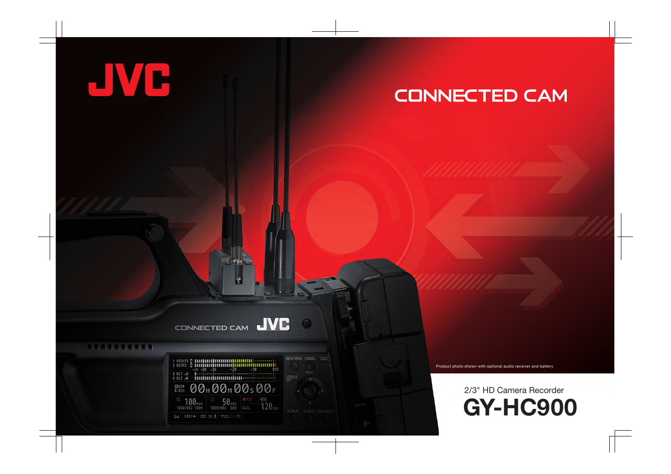# **CONNECTED CAM**

#### **JVC** CONNECTED CAM

¥

### 556565666





 $\bullet$ 

DISPLAY B.LIGHT CAM/MED

Product photo shown with optional audio receiver and battery

## **GY-HC900** 2/3" HD Camera Recorder